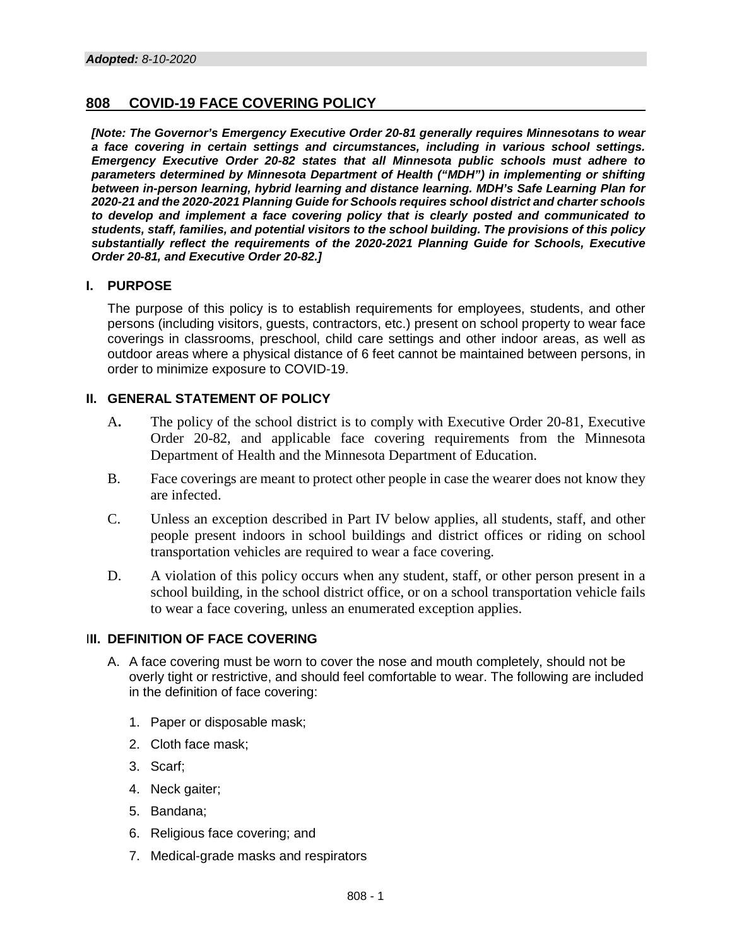## **808 COVID-19 FACE COVERING POLICY**

*[Note: The Governor's Emergency Executive Order 20-81 generally requires Minnesotans to wear a face covering in certain settings and circumstances, including in various school settings. Emergency Executive Order 20-82 states that all Minnesota public schools must adhere to parameters determined by Minnesota Department of Health ("MDH") in implementing or shifting between in-person learning, hybrid learning and distance learning. MDH's Safe Learning Plan for 2020-21 and the 2020-2021 Planning Guide for Schools requires school district and charter schools to develop and implement a face covering policy that is clearly posted and communicated to students, staff, families, and potential visitors to the school building. The provisions of this policy substantially reflect the requirements of the 2020-2021 Planning Guide for Schools, Executive Order 20-81, and Executive Order 20-82.]*

## **I. PURPOSE**

The purpose of this policy is to establish requirements for employees, students, and other persons (including visitors, guests, contractors, etc.) present on school property to wear face coverings in classrooms, preschool, child care settings and other indoor areas, as well as outdoor areas where a physical distance of 6 feet cannot be maintained between persons, in order to minimize exposure to COVID-19.

## **II. GENERAL STATEMENT OF POLICY**

- A**.** The policy of the school district is to comply with Executive Order 20-81, Executive Order 20-82, and applicable face covering requirements from the Minnesota Department of Health and the Minnesota Department of Education.
- B. Face coverings are meant to protect other people in case the wearer does not know they are infected.
- C. Unless an exception described in Part IV below applies, all students, staff, and other people present indoors in school buildings and district offices or riding on school transportation vehicles are required to wear a face covering.
- D. A violation of this policy occurs when any student, staff, or other person present in a school building, in the school district office, or on a school transportation vehicle fails to wear a face covering, unless an enumerated exception applies.

## **III. DEFINITION OF FACE COVERING**

- A. A face covering must be worn to cover the nose and mouth completely, should not be overly tight or restrictive, and should feel comfortable to wear. The following are included in the definition of face covering:
	- 1. Paper or disposable mask;
	- 2. Cloth face mask;
	- 3. Scarf;
	- 4. Neck gaiter;
	- 5. Bandana;
	- 6. Religious face covering; and
	- 7. Medical-grade masks and respirators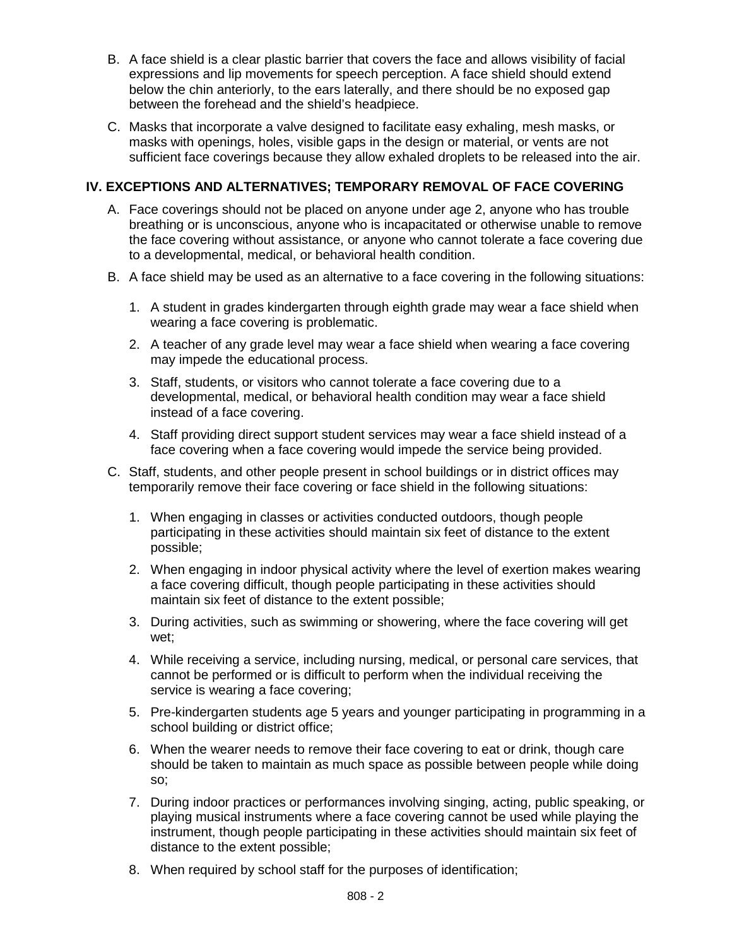- B. A face shield is a clear plastic barrier that covers the face and allows visibility of facial expressions and lip movements for speech perception. A face shield should extend below the chin anteriorly, to the ears laterally, and there should be no exposed gap between the forehead and the shield's headpiece.
- C. Masks that incorporate a valve designed to facilitate easy exhaling, mesh masks, or masks with openings, holes, visible gaps in the design or material, or vents are not sufficient face coverings because they allow exhaled droplets to be released into the air.

# **IV. EXCEPTIONS AND ALTERNATIVES; TEMPORARY REMOVAL OF FACE COVERING**

- A. Face coverings should not be placed on anyone under age 2, anyone who has trouble breathing or is unconscious, anyone who is incapacitated or otherwise unable to remove the face covering without assistance, or anyone who cannot tolerate a face covering due to a developmental, medical, or behavioral health condition.
- B. A face shield may be used as an alternative to a face covering in the following situations:
	- 1. A student in grades kindergarten through eighth grade may wear a face shield when wearing a face covering is problematic.
	- 2. A teacher of any grade level may wear a face shield when wearing a face covering may impede the educational process.
	- 3. Staff, students, or visitors who cannot tolerate a face covering due to a developmental, medical, or behavioral health condition may wear a face shield instead of a face covering.
	- 4. Staff providing direct support student services may wear a face shield instead of a face covering when a face covering would impede the service being provided.
- C. Staff, students, and other people present in school buildings or in district offices may temporarily remove their face covering or face shield in the following situations:
	- 1. When engaging in classes or activities conducted outdoors, though people participating in these activities should maintain six feet of distance to the extent possible;
	- 2. When engaging in indoor physical activity where the level of exertion makes wearing a face covering difficult, though people participating in these activities should maintain six feet of distance to the extent possible;
	- 3. During activities, such as swimming or showering, where the face covering will get wet;
	- 4. While receiving a service, including nursing, medical, or personal care services, that cannot be performed or is difficult to perform when the individual receiving the service is wearing a face covering;
	- 5. Pre-kindergarten students age 5 years and younger participating in programming in a school building or district office;
	- 6. When the wearer needs to remove their face covering to eat or drink, though care should be taken to maintain as much space as possible between people while doing so;
	- 7. During indoor practices or performances involving singing, acting, public speaking, or playing musical instruments where a face covering cannot be used while playing the instrument, though people participating in these activities should maintain six feet of distance to the extent possible;
	- 8. When required by school staff for the purposes of identification;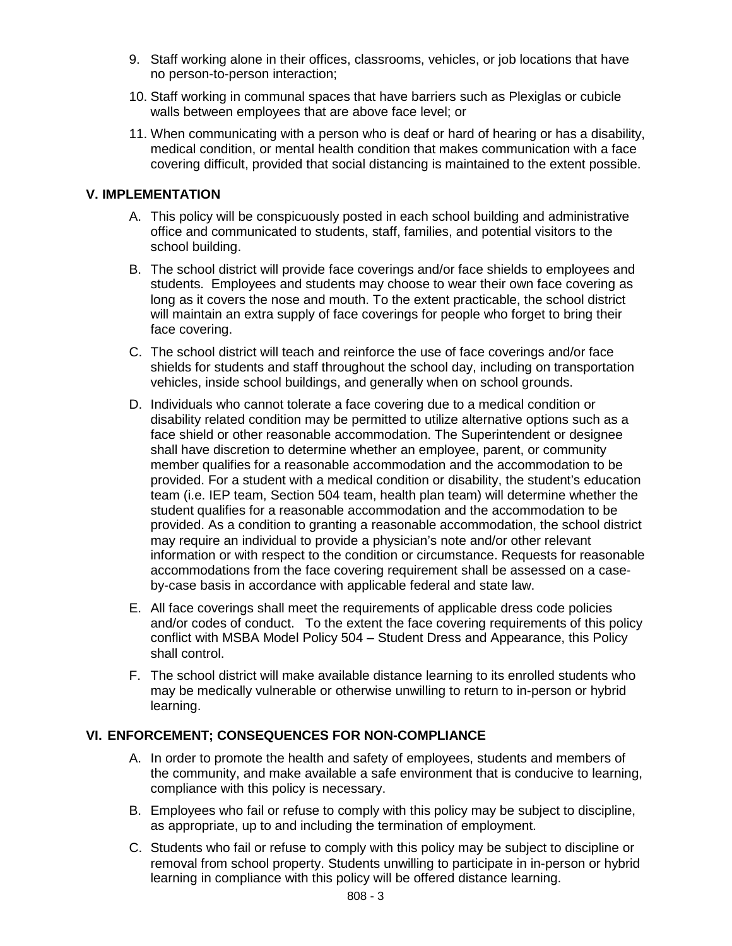- 9. Staff working alone in their offices, classrooms, vehicles, or job locations that have no person-to-person interaction;
- 10. Staff working in communal spaces that have barriers such as Plexiglas or cubicle walls between employees that are above face level; or
- 11. When communicating with a person who is deaf or hard of hearing or has a disability, medical condition, or mental health condition that makes communication with a face covering difficult, provided that social distancing is maintained to the extent possible.

#### **V. IMPLEMENTATION**

- A. This policy will be conspicuously posted in each school building and administrative office and communicated to students, staff, families, and potential visitors to the school building.
- B. The school district will provide face coverings and/or face shields to employees and students. Employees and students may choose to wear their own face covering as long as it covers the nose and mouth. To the extent practicable, the school district will maintain an extra supply of face coverings for people who forget to bring their face covering.
- C. The school district will teach and reinforce the use of face coverings and/or face shields for students and staff throughout the school day, including on transportation vehicles, inside school buildings, and generally when on school grounds.
- D. Individuals who cannot tolerate a face covering due to a medical condition or disability related condition may be permitted to utilize alternative options such as a face shield or other reasonable accommodation. The Superintendent or designee shall have discretion to determine whether an employee, parent, or community member qualifies for a reasonable accommodation and the accommodation to be provided. For a student with a medical condition or disability, the student's education team (i.e. IEP team, Section 504 team, health plan team) will determine whether the student qualifies for a reasonable accommodation and the accommodation to be provided. As a condition to granting a reasonable accommodation, the school district may require an individual to provide a physician's note and/or other relevant information or with respect to the condition or circumstance. Requests for reasonable accommodations from the face covering requirement shall be assessed on a caseby-case basis in accordance with applicable federal and state law.
- E. All face coverings shall meet the requirements of applicable dress code policies and/or codes of conduct. To the extent the face covering requirements of this policy conflict with MSBA Model Policy 504 – Student Dress and Appearance, this Policy shall control.
- F. The school district will make available distance learning to its enrolled students who may be medically vulnerable or otherwise unwilling to return to in-person or hybrid learning.

#### **VI. ENFORCEMENT; CONSEQUENCES FOR NON-COMPLIANCE**

- A. In order to promote the health and safety of employees, students and members of the community, and make available a safe environment that is conducive to learning, compliance with this policy is necessary.
- B. Employees who fail or refuse to comply with this policy may be subject to discipline, as appropriate, up to and including the termination of employment.
- C. Students who fail or refuse to comply with this policy may be subject to discipline or removal from school property. Students unwilling to participate in in-person or hybrid learning in compliance with this policy will be offered distance learning.